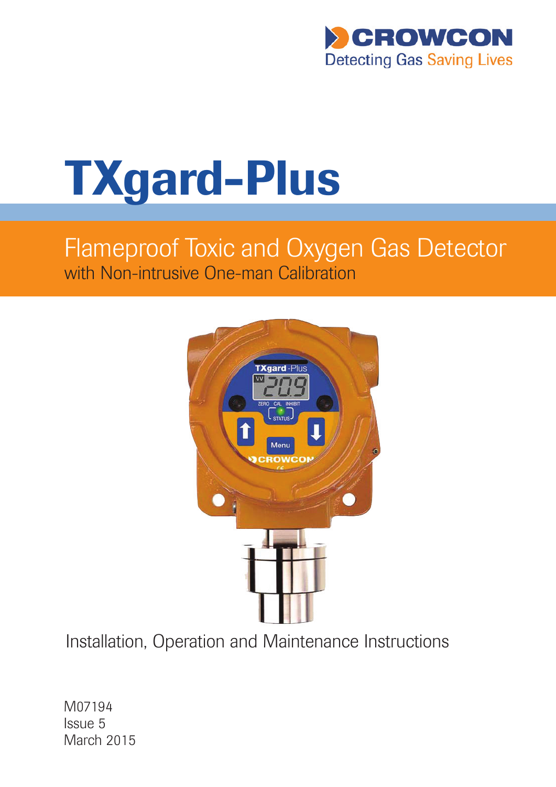

# TXgard-Plus

# Flameproof Toxic and Oxygen Gas Detector with Non-intrusive One-man Calibration



Installation, Operation and Maintenance Instructions

M07194 Issue 5 March 2015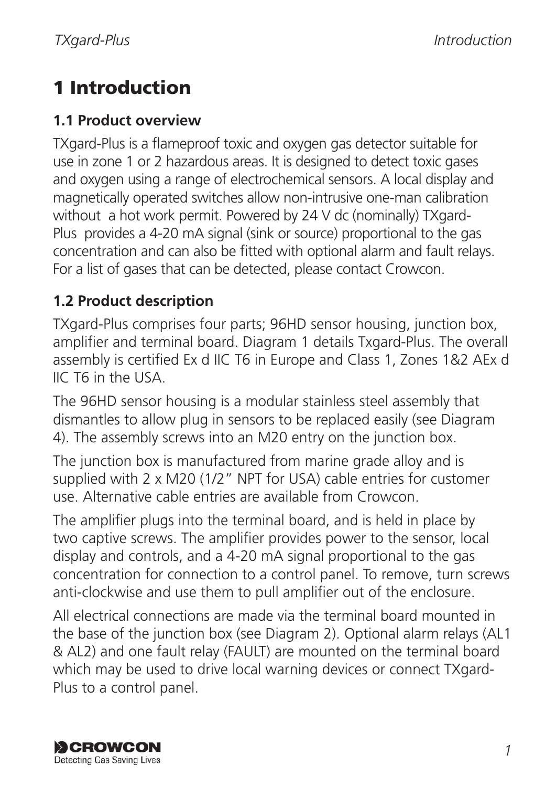# 1 Introduction

#### **1.1 Product overview**

TXgard-Plus is a flameproof toxic and oxygen gas detector suitable for use in zone 1 or 2 hazardous areas. It is designed to detect toxic gases and oxygen using a range of electrochemical sensors. A local display and magnetically operated switches allow non-intrusive one-man calibration without a hot work permit. Powered by 24 V dc (nominally) TXgard-Plus provides a 4-20 mA signal (sink or source) proportional to the gas concentration and can also be fitted with optional alarm and fault relays. For a list of gases that can be detected, please contact Crowcon.

## **1.2 Product description**

TXgard-Plus comprises four parts; 96HD sensor housing, junction box, amplifier and terminal board. Diagram 1 details Txgard-Plus. The overall assembly is certified Ex d IIC T6 in Europe and Class 1, Zones 1&2 AEx d IIC T6 in the USA.

The 96HD sensor housing is a modular stainless steel assembly that dismantles to allow plug in sensors to be replaced easily (see Diagram 4). The assembly screws into an M20 entry on the junction box.

The junction box is manufactured from marine grade alloy and is supplied with 2 x M20 (1/2" NPT for USA) cable entries for customer use. Alternative cable entries are available from Crowcon.

The amplifier plugs into the terminal board, and is held in place by two captive screws. The amplifier provides power to the sensor, local display and controls, and a 4-20 mA signal proportional to the gas concentration for connection to a control panel. To remove, turn screws anti-clockwise and use them to pull amplifier out of the enclosure.

All electrical connections are made via the terminal board mounted in the base of the junction box (see Diagram 2). Optional alarm relays (AL1 & AL2) and one fault relay (FAULT) are mounted on the terminal board which may be used to drive local warning devices or connect TXgard-Plus to a control panel.

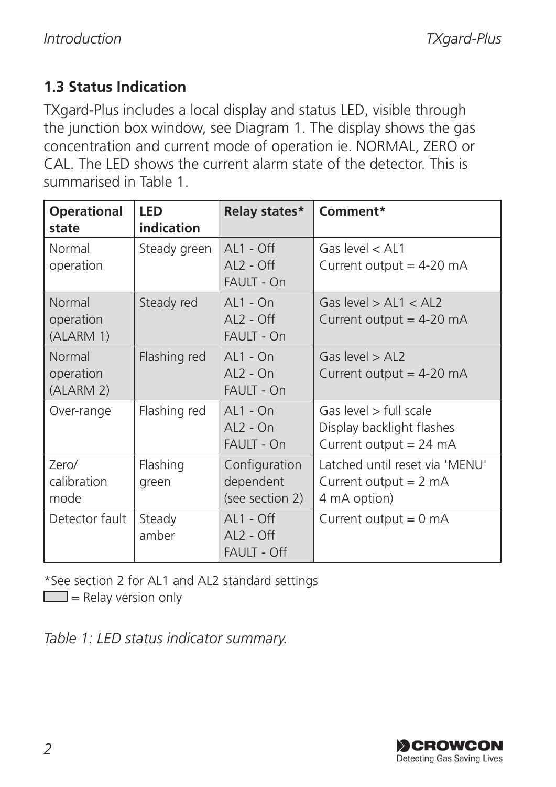## **1.3 Status Indication**

TXgard-Plus includes a local display and status LED, visible through the junction box window, see Diagram 1. The display shows the gas concentration and current mode of operation ie. NORMAL, ZERO or CAL. The LED shows the current alarm state of the detector. This is summarised in Table 1.

| <b>Operational</b><br>state      | LED<br>indication | Relay states*                                    | Comment*                                                                      |
|----------------------------------|-------------------|--------------------------------------------------|-------------------------------------------------------------------------------|
| Normal<br>operation              | Steady green      | $AL1 - Off$<br>$AL2 - Off$<br><b>FAULT - On</b>  | Gas level $<$ AL1<br>Current output = $4-20$ mA                               |
| Normal<br>operation<br>(ALARM 1) | Steady red        | $AL1 - On$<br>$AL2 - Off$<br>FAULT - On          | Gas level $>AL1 < AL2$<br>Current output = $4-20$ mA                          |
| Normal<br>operation<br>(ALARM 2) | Flashing red      | $AL1 - On$<br>$AL2 - On$<br><b>FAULT - On</b>    | Gas level $>$ AI 2<br>Current output = $4-20$ mA                              |
| Over-range                       | Flashing red      | $AL1 - On$<br>$AL2 - On$<br>FAULT - On           | Gas level > full scale<br>Display backlight flashes<br>Current output = 24 mA |
| Zero/<br>calibration<br>mode     | Flashing<br>green | Configuration<br>dependent<br>(see section 2)    | Latched until reset via 'MENU'<br>Current output $= 2$ mA<br>4 mA option)     |
| Detector fault                   | Steady<br>amber   | $AL1 - Off$<br>$AL2 - Off$<br><b>FAULT - Off</b> | Current output $= 0$ mA                                                       |

\*See section 2 for AL1 and AL2 standard settings

 $\Box$  = Relay version only

*Table 1: LED status indicator summary.*

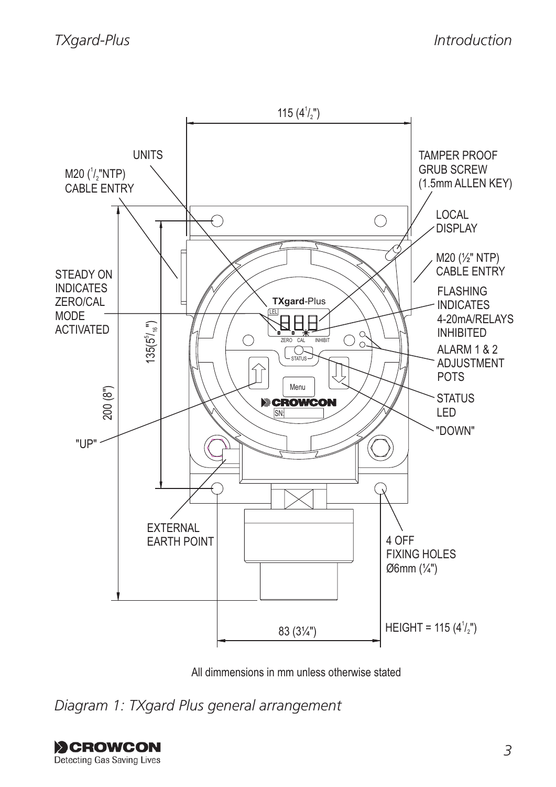

All dimmensions in mm unless otherwise stated

*Diagram 1: TXgard Plus general arrangement*

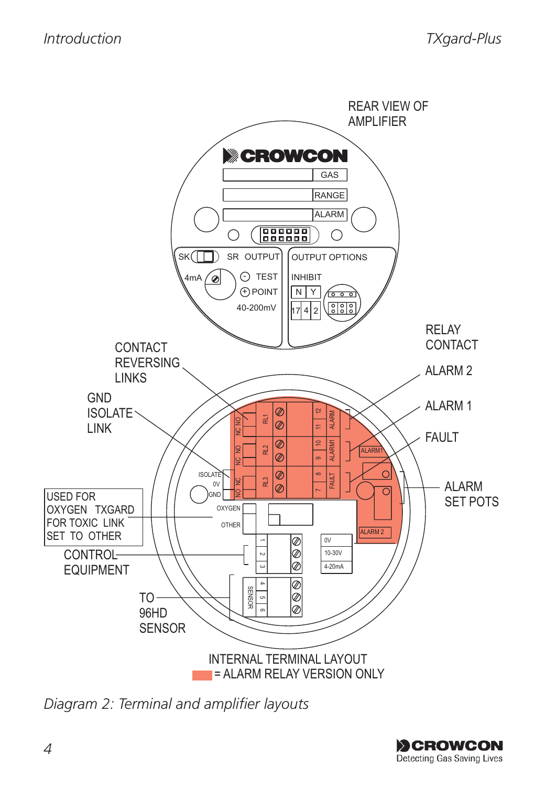

*Diagram 2: Terminal and amplifier layouts*

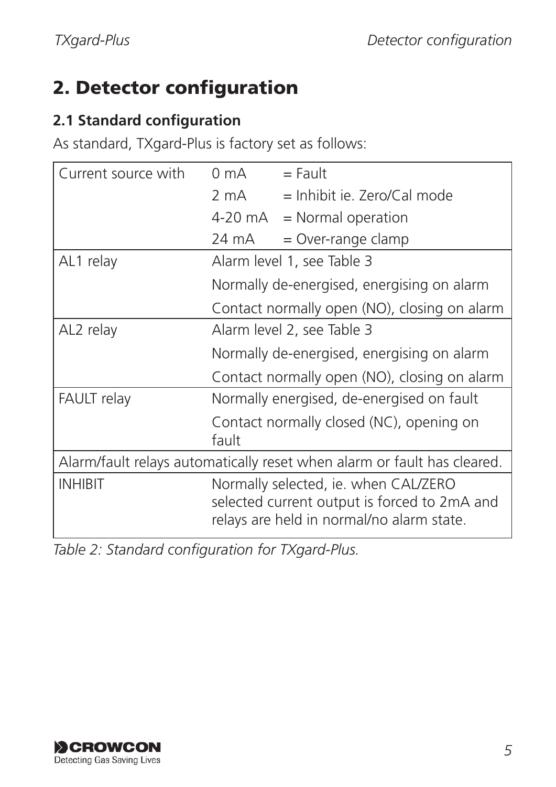## 2. Detector configuration

#### **2.1 Standard configuration**

As standard, TXgard-Plus is factory set as follows:

| Current source with                                                     | 0 mA                                                                                                                              | $=$ Fault                                    |
|-------------------------------------------------------------------------|-----------------------------------------------------------------------------------------------------------------------------------|----------------------------------------------|
|                                                                         | 2 mA                                                                                                                              | $=$ Inhibit je. Zero/Cal mode                |
|                                                                         |                                                                                                                                   | $4-20 \text{ mA}$ = Normal operation         |
|                                                                         | 24 mA                                                                                                                             | = Over-range clamp                           |
| AL1 relay                                                               | Alarm level 1, see Table 3                                                                                                        |                                              |
|                                                                         |                                                                                                                                   | Normally de-energised, energising on alarm   |
|                                                                         | Contact normally open (NO), closing on alarm                                                                                      |                                              |
| AL2 relay                                                               | Alarm level 2, see Table 3                                                                                                        |                                              |
|                                                                         |                                                                                                                                   | Normally de-energised, energising on alarm   |
|                                                                         |                                                                                                                                   | Contact normally open (NO), closing on alarm |
| <b>FAULT</b> relay                                                      | Normally energised, de-energised on fault                                                                                         |                                              |
|                                                                         | fault                                                                                                                             | Contact normally closed (NC), opening on     |
| Alarm/fault relays automatically reset when alarm or fault has cleared. |                                                                                                                                   |                                              |
| <b>INHIBIT</b>                                                          | Normally selected, ie. when CAL/ZERO<br>selected current output is forced to 2mA and<br>relays are held in normal/no alarm state. |                                              |

*Table 2: Standard configuration for TXgard-Plus.*

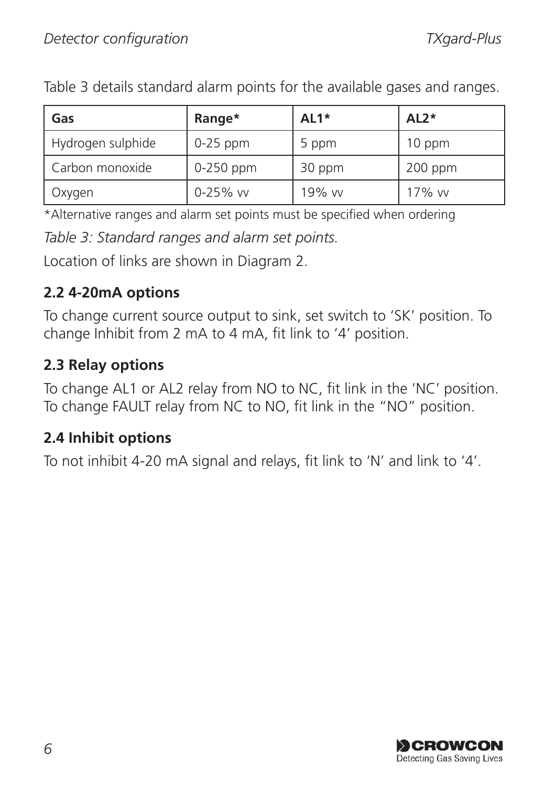Table 3 details standard alarm points for the available gases and ranges.

| Gas               | Range*      | AL <sub>1</sub> * | $AL2*$    |
|-------------------|-------------|-------------------|-----------|
| Hydrogen sulphide | $0-25$ ppm  | 5 ppm             | 10 ppm    |
| Carbon monoxide   | $0-250$ ppm | 30 ppm            | $200$ ppm |
| Oxygen            | 0-25% vv    | 19% w             | 17% w     |

\*Alternative ranges and alarm set points must be specified when ordering

*Table 3: Standard ranges and alarm set points.*

Location of links are shown in Diagram 2.

## **2.2 4-20mA options**

To change current source output to sink, set switch to 'SK' position. To change Inhibit from 2 mA to 4 mA, fit link to '4' position.

## **2.3 Relay options**

To change AL1 or AL2 relay from NO to NC, fit link in the 'NC' position. To change FAULT relay from NC to NO, fit link in the "NO" position.

#### **2.4 Inhibit options**

To not inhibit 4-20 mA signal and relays, fit link to 'N' and link to '4'.

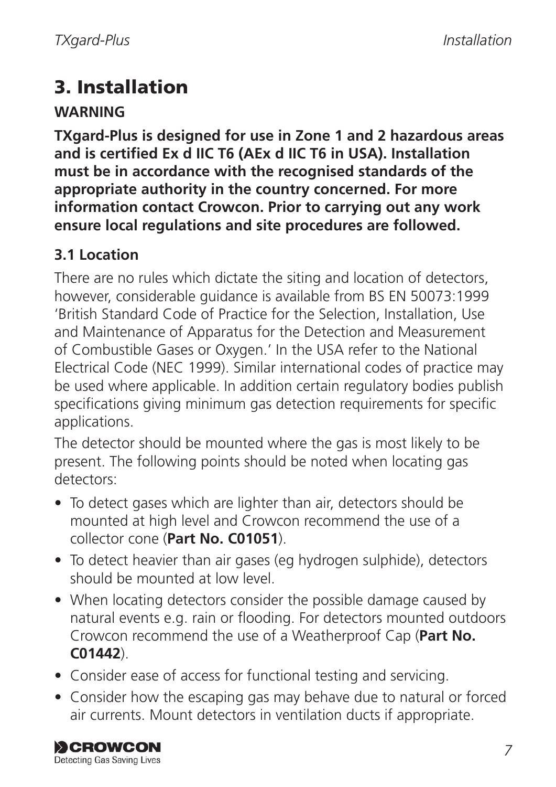# 3. Installation

#### **WARNING**

**TXgard-Plus is designed for use in Zone 1 and 2 hazardous areas and is certified Ex d IIC T6 (AEx d IIC T6 in USA). Installation must be in accordance with the recognised standards of the appropriate authority in the country concerned. For more information contact Crowcon. Prior to carrying out any work ensure local regulations and site procedures are followed.**

## **3.1 Location**

There are no rules which dictate the siting and location of detectors, however, considerable guidance is available from BS EN 50073:1999 'British Standard Code of Practice for the Selection, Installation, Use and Maintenance of Apparatus for the Detection and Measurement of Combustible Gases or Oxygen.' In the USA refer to the National Electrical Code (NEC 1999). Similar international codes of practice may be used where applicable. In addition certain regulatory bodies publish specifications giving minimum gas detection requirements for specific applications.

The detector should be mounted where the gas is most likely to be present. The following points should be noted when locating gas detectors:

- To detect gases which are lighter than air, detectors should be mounted at high level and Crowcon recommend the use of a collector cone (**Part No. C01051**).
- To detect heavier than air gases (eg hydrogen sulphide), detectors should be mounted at low level.
- When locating detectors consider the possible damage caused by natural events e.g. rain or flooding. For detectors mounted outdoors Crowcon recommend the use of a Weatherproof Cap (**Part No. C01442**).
- Consider ease of access for functional testing and servicing.
- Consider how the escaping gas may behave due to natural or forced air currents. Mount detectors in ventilation ducts if appropriate.

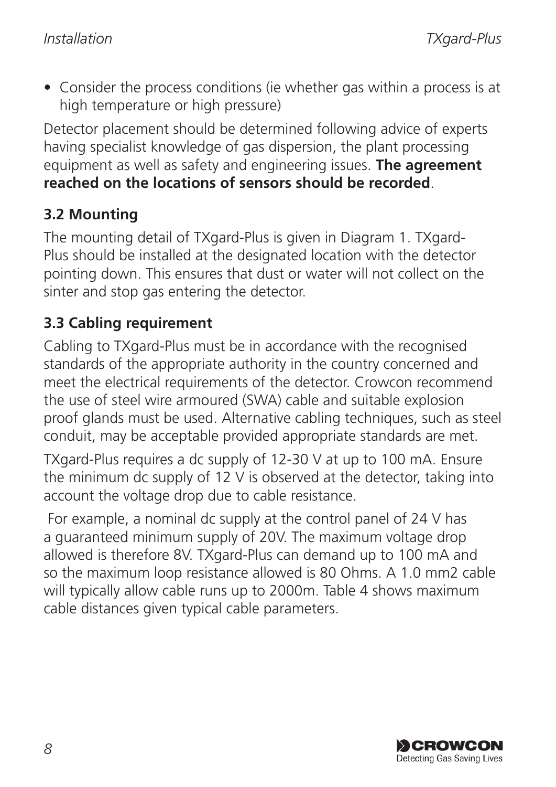• Consider the process conditions (ie whether gas within a process is at high temperature or high pressure)

Detector placement should be determined following advice of experts having specialist knowledge of gas dispersion, the plant processing equipment as well as safety and engineering issues. **The agreement reached on the locations of sensors should be recorded**.

#### **3.2 Mounting**

The mounting detail of TXgard-Plus is given in Diagram 1. TXgard-Plus should be installed at the designated location with the detector pointing down. This ensures that dust or water will not collect on the sinter and stop gas entering the detector.

## **3.3 Cabling requirement**

Cabling to TXgard-Plus must be in accordance with the recognised standards of the appropriate authority in the country concerned and meet the electrical requirements of the detector. Crowcon recommend the use of steel wire armoured (SWA) cable and suitable explosion proof glands must be used. Alternative cabling techniques, such as steel conduit, may be acceptable provided appropriate standards are met.

TXgard-Plus requires a dc supply of 12-30 V at up to 100 mA. Ensure the minimum dc supply of 12 V is observed at the detector, taking into account the voltage drop due to cable resistance.

 For example, a nominal dc supply at the control panel of 24 V has a guaranteed minimum supply of 20V. The maximum voltage drop allowed is therefore 8V. TXgard-Plus can demand up to 100 mA and so the maximum loop resistance allowed is 80 Ohms. A 1.0 mm2 cable will typically allow cable runs up to 2000m. Table 4 shows maximum cable distances given typical cable parameters.

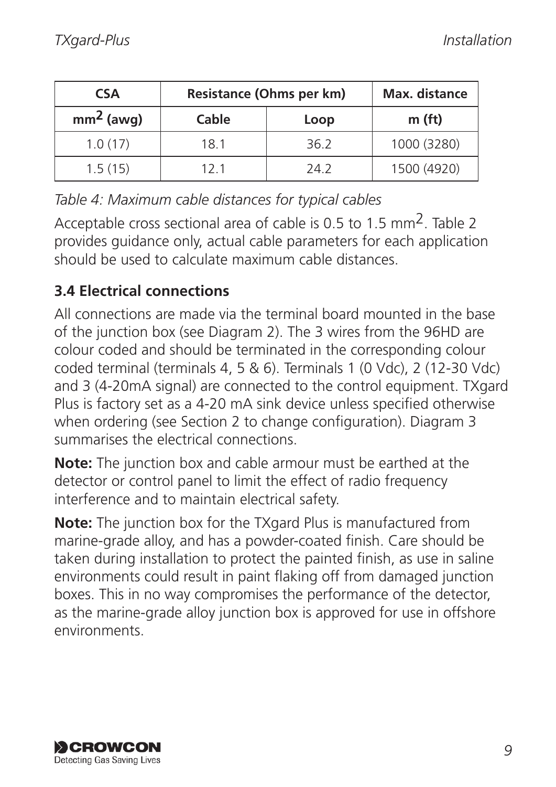| <b>CSA</b>  | Resistance (Ohms per km) |      | Max. distance |
|-------------|--------------------------|------|---------------|
| $mm2$ (awg) | Cable                    | Loop | m (ft)        |
| 1.0(17)     | 18.1                     | 36.2 | 1000 (3280)   |
| 1.5(15)     | 121                      | 24.2 | 1500 (4920)   |

*Table 4: Maximum cable distances for typical cables*

Acceptable cross sectional area of cable is 0.5 to 1.5 mm2. Table 2 provides guidance only, actual cable parameters for each application should be used to calculate maximum cable distances.

## **3.4 Electrical connections**

All connections are made via the terminal board mounted in the base of the junction box (see Diagram 2). The 3 wires from the 96HD are colour coded and should be terminated in the corresponding colour coded terminal (terminals 4, 5 & 6). Terminals 1 (0 Vdc), 2 (12-30 Vdc) and 3 (4-20mA signal) are connected to the control equipment. TXgard Plus is factory set as a 4-20 mA sink device unless specified otherwise when ordering (see Section 2 to change configuration). Diagram 3 summarises the electrical connections.

**Note:** The junction box and cable armour must be earthed at the detector or control panel to limit the effect of radio frequency interference and to maintain electrical safety.

**Note:** The junction box for the TXgard Plus is manufactured from marine-grade alloy, and has a powder-coated finish. Care should be taken during installation to protect the painted finish, as use in saline environments could result in paint flaking off from damaged junction boxes. This in no way compromises the performance of the detector, as the marine-grade alloy junction box is approved for use in offshore environments.

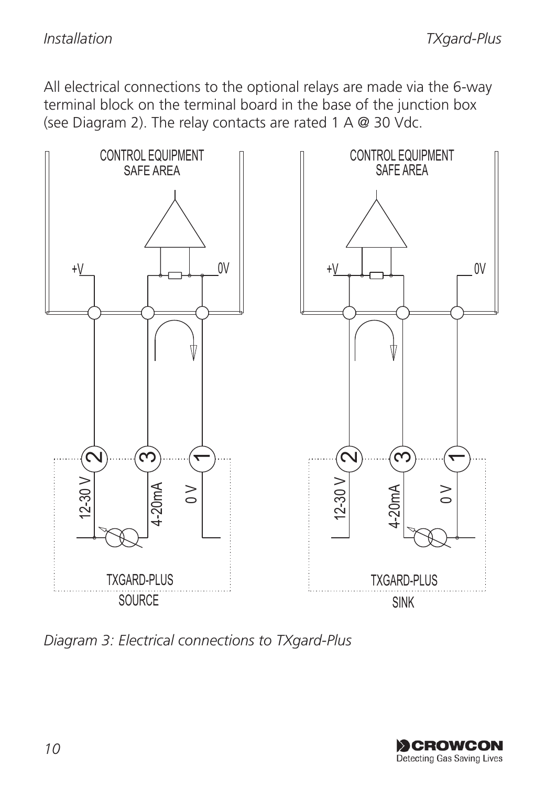All electrical connections to the optional relays are made via the 6-way terminal block on the terminal board in the base of the junction box (see Diagram 2). The relay contacts are rated 1 A @ 30 Vdc.



*Diagram 3: Electrical connections to TXgard-Plus*

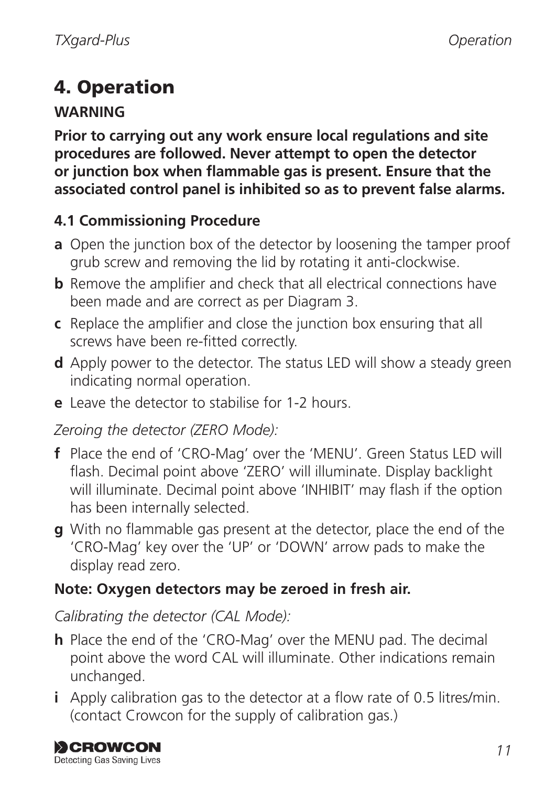# 4. Operation

## **WARNING**

**Prior to carrying out any work ensure local regulations and site procedures are followed. Never attempt to open the detector or junction box when flammable gas is present. Ensure that the associated control panel is inhibited so as to prevent false alarms.**

## **4.1 Commissioning Procedure**

- **a** Open the junction box of the detector by loosening the tamper proof grub screw and removing the lid by rotating it anti-clockwise.
- **b** Remove the amplifier and check that all electrical connections have been made and are correct as per Diagram 3.
- **c** Replace the amplifier and close the junction box ensuring that all screws have been re-fitted correctly.
- **d** Apply power to the detector. The status LED will show a steady green indicating normal operation.
- **e** Leave the detector to stabilise for 1-2 hours.

#### *Zeroing the detector (ZERO Mode):*

- **f** Place the end of 'CRO-Mag' over the 'MENU'. Green Status LED will flash. Decimal point above 'ZERO' will illuminate. Display backlight will illuminate. Decimal point above 'INHIBIT' may flash if the option has been internally selected.
- **g** With no flammable gas present at the detector, place the end of the 'CRO-Mag' key over the 'UP' or 'DOWN' arrow pads to make the display read zero.

#### **Note: Oxygen detectors may be zeroed in fresh air.**

#### *Calibrating the detector (CAL Mode):*

- **h** Place the end of the 'CRO-Mag' over the MENU pad. The decimal point above the word CAL will illuminate. Other indications remain unchanged.
- **i** Apply calibration gas to the detector at a flow rate of 0.5 litres/min. (contact Crowcon for the supply of calibration gas.)

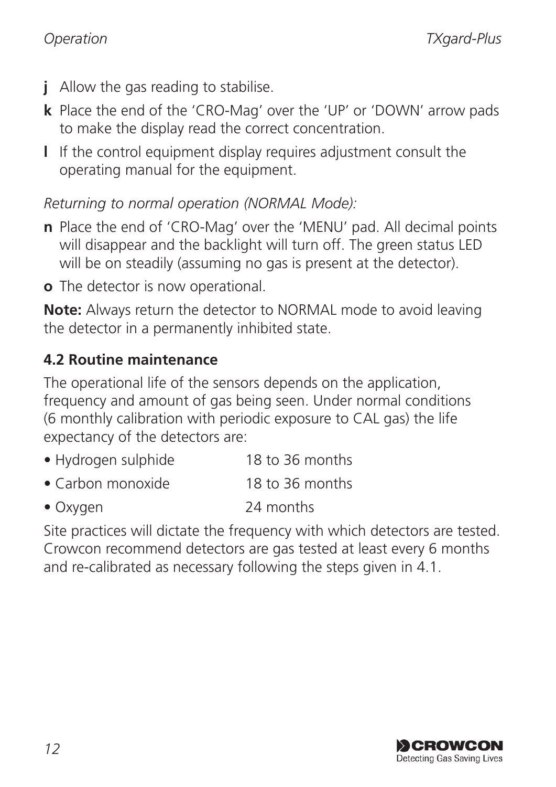- **j** Allow the gas reading to stabilise.
- **k** Place the end of the 'CRO-Mag' over the 'UP' or 'DOWN' arrow pads to make the display read the correct concentration.
- **l** If the control equipment display requires adjustment consult the operating manual for the equipment.

*Returning to normal operation (NORMAL Mode):*

- **n** Place the end of 'CRO-Mag' over the 'MENU' pad. All decimal points will disappear and the backlight will turn off. The green status LED will be on steadily (assuming no gas is present at the detector).
- **o** The detector is now operational.

**Note:** Always return the detector to NORMAL mode to avoid leaving the detector in a permanently inhibited state.

#### **4.2 Routine maintenance**

The operational life of the sensors depends on the application, frequency and amount of gas being seen. Under normal conditions (6 monthly calibration with periodic exposure to CAL gas) the life expectancy of the detectors are:

- Hydrogen sulphide 18 to 36 months
- Carbon monoxide 18 to 36 months
- Oxygen 24 months

Site practices will dictate the frequency with which detectors are tested. Crowcon recommend detectors are gas tested at least every 6 months and re-calibrated as necessary following the steps given in 4.1.

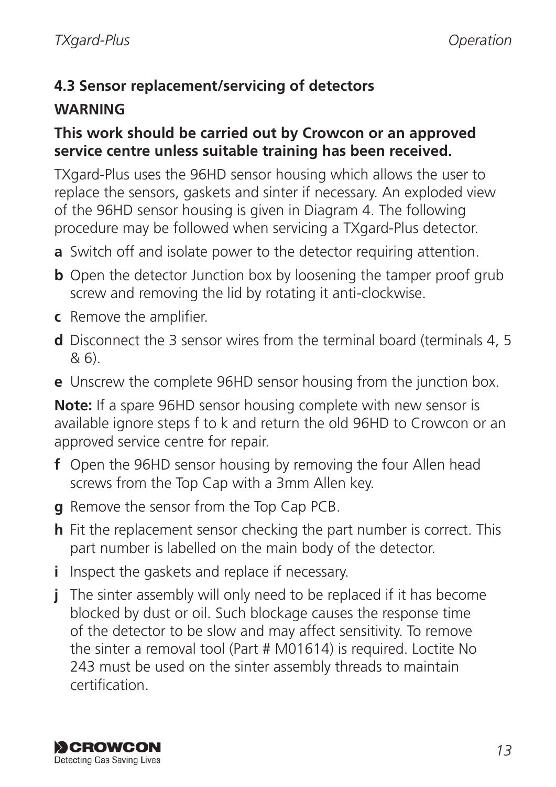## **4.3 Sensor replacement/servicing of detectors**

## **WARNING**

#### **This work should be carried out by Crowcon or an approved service centre unless suitable training has been received.**

TXgard-Plus uses the 96HD sensor housing which allows the user to replace the sensors, gaskets and sinter if necessary. An exploded view of the 96HD sensor housing is given in Diagram 4. The following procedure may be followed when servicing a TXgard-Plus detector.

- **a** Switch off and isolate power to the detector requiring attention.
- **b** Open the detector Junction box by loosening the tamper proof grub screw and removing the lid by rotating it anti-clockwise.
- **c** Remove the amplifier.
- **d** Disconnect the 3 sensor wires from the terminal board (terminals 4, 5 & 6).
- **e** Unscrew the complete 96HD sensor housing from the junction box.

**Note:** If a spare 96HD sensor housing complete with new sensor is available ignore steps f to k and return the old 96HD to Crowcon or an approved service centre for repair.

- **f** Open the 96HD sensor housing by removing the four Allen head screws from the Top Cap with a 3mm Allen key.
- **g** Remove the sensor from the Top Cap PCB.
- **h** Fit the replacement sensor checking the part number is correct. This part number is labelled on the main body of the detector.
- **i** Inspect the gaskets and replace if necessary.
- **j** The sinter assembly will only need to be replaced if it has become blocked by dust or oil. Such blockage causes the response time of the detector to be slow and may affect sensitivity. To remove the sinter a removal tool (Part # M01614) is required. Loctite No 243 must be used on the sinter assembly threads to maintain certification.

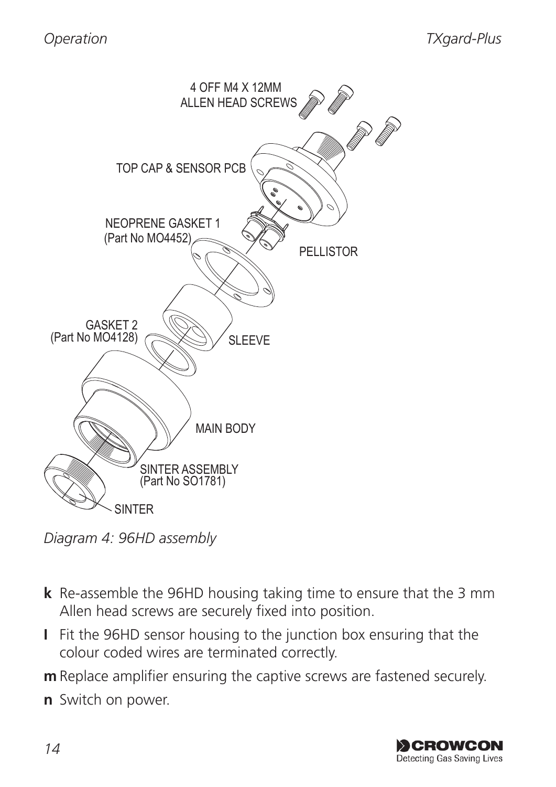

*Diagram 4: 96HD assembly*

- **k** Re-assemble the 96HD housing taking time to ensure that the 3 mm Allen head screws are securely fixed into position.
- **I** Fit the 96HD sensor housing to the junction box ensuring that the colour coded wires are terminated correctly.
- **m** Replace amplifier ensuring the captive screws are fastened securely.
- **n** Switch on power.

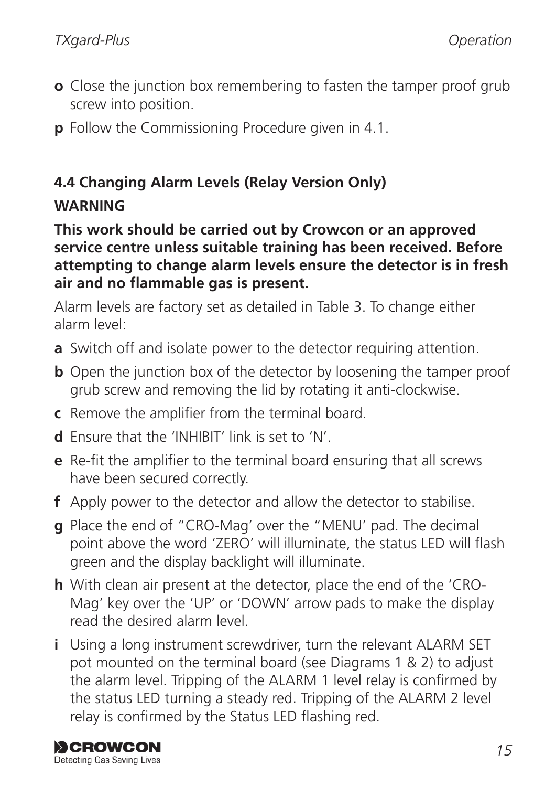- **o** Close the junction box remembering to fasten the tamper proof grub screw into position.
- **p** Follow the Commissioning Procedure given in 4.1.

## **4.4 Changing Alarm Levels (Relay Version Only) WARNING**

**This work should be carried out by Crowcon or an approved service centre unless suitable training has been received. Before attempting to change alarm levels ensure the detector is in fresh air and no flammable gas is present.**

Alarm levels are factory set as detailed in Table 3. To change either alarm level:

- **a** Switch off and isolate power to the detector requiring attention.
- **b** Open the junction box of the detector by loosening the tamper proof grub screw and removing the lid by rotating it anti-clockwise.
- **c** Remove the amplifier from the terminal board.
- **d** Ensure that the 'INHIBIT' link is set to 'N'.
- **e** Re-fit the amplifier to the terminal board ensuring that all screws have been secured correctly.
- **f** Apply power to the detector and allow the detector to stabilise.
- **g** Place the end of "CRO-Mag' over the "MENU' pad. The decimal point above the word 'ZERO' will illuminate, the status LED will flash green and the display backlight will illuminate.
- **h** With clean air present at the detector, place the end of the 'CRO-Mag' key over the 'UP' or 'DOWN' arrow pads to make the display read the desired alarm level.
- **i** Using a long instrument screwdriver, turn the relevant ALARM SET pot mounted on the terminal board (see Diagrams 1 & 2) to adjust the alarm level. Tripping of the ALARM 1 level relay is confirmed by the status LED turning a steady red. Tripping of the ALARM 2 level relay is confirmed by the Status LED flashing red.

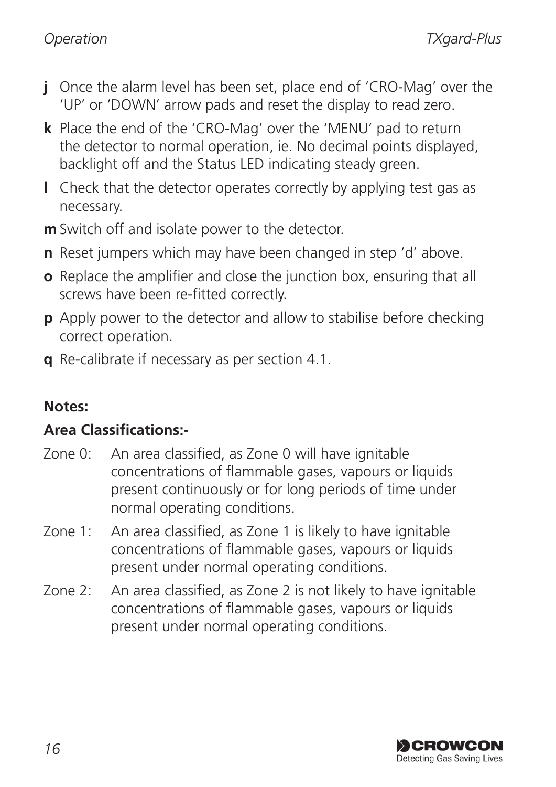- **j** Once the alarm level has been set, place end of 'CRO-Mag' over the 'UP' or 'DOWN' arrow pads and reset the display to read zero.
- **k** Place the end of the 'CRO-Mag' over the 'MENU' pad to return the detector to normal operation, ie. No decimal points displayed, backlight off and the Status LED indicating steady green.
- **l** Check that the detector operates correctly by applying test gas as necessary.
- **m** Switch off and isolate power to the detector.
- **n** Reset jumpers which may have been changed in step 'd' above.
- **o** Replace the amplifier and close the junction box, ensuring that all screws have been re-fitted correctly.
- **p** Apply power to the detector and allow to stabilise before checking correct operation.
- **q** Re-calibrate if necessary as per section 4.1.

#### **Notes:**

#### **Area Classifications:-**

- Zone 0: An area classified, as Zone 0 will have ignitable concentrations of flammable gases, vapours or liquids present continuously or for long periods of time under normal operating conditions.
- Zone 1: An area classified, as Zone 1 is likely to have ignitable concentrations of flammable gases, vapours or liquids present under normal operating conditions.
- Zone 2: An area classified, as Zone 2 is not likely to have ignitable concentrations of flammable gases, vapours or liquids present under normal operating conditions.

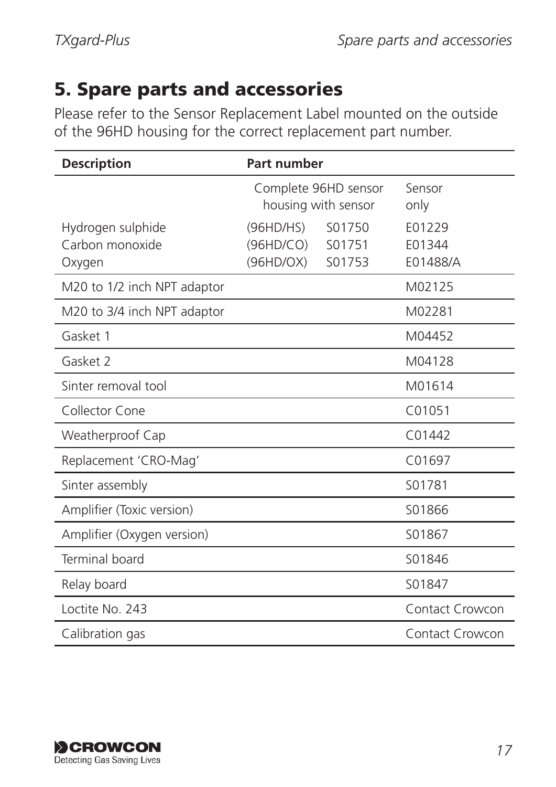## 5. Spare parts and accessories

Please refer to the Sensor Replacement Label mounted on the outside of the 96HD housing for the correct replacement part number.

| <b>Description</b>                             | Part number                                 |                            |                              |
|------------------------------------------------|---------------------------------------------|----------------------------|------------------------------|
|                                                | Complete 96HD sensor<br>housing with sensor |                            | Sensor<br>only               |
| Hydrogen sulphide<br>Carbon monoxide<br>Oxygen | (96HD/HS)<br>(96HD/CO)<br>(96HD/OX)         | S01750<br>S01751<br>S01753 | E01229<br>F01344<br>E01488/A |
| M20 to 1/2 inch NPT adaptor                    |                                             |                            | M02125                       |
| M20 to 3/4 inch NPT adaptor                    |                                             |                            | M02281                       |
| Gasket 1                                       |                                             |                            | M04452                       |
| Gasket 2                                       |                                             |                            | M04128                       |
| Sinter removal tool                            |                                             |                            | M01614                       |
| Collector Cone                                 |                                             |                            | C <sub>01051</sub>           |
| Weatherproof Cap                               |                                             |                            | C <sub>01442</sub>           |
| Replacement 'CRO-Mag'                          |                                             |                            | C01697                       |
| Sinter assembly                                |                                             |                            | S01781                       |
| Amplifier (Toxic version)                      |                                             |                            | S01866                       |
| Amplifier (Oxygen version)                     |                                             |                            | S01867                       |
| Terminal board                                 |                                             |                            | S01846                       |
| Relay board                                    |                                             |                            | S01847                       |
| Loctite No. 243                                |                                             |                            | Contact Crowcon              |
| Calibration gas                                |                                             |                            | Contact Crowcon              |

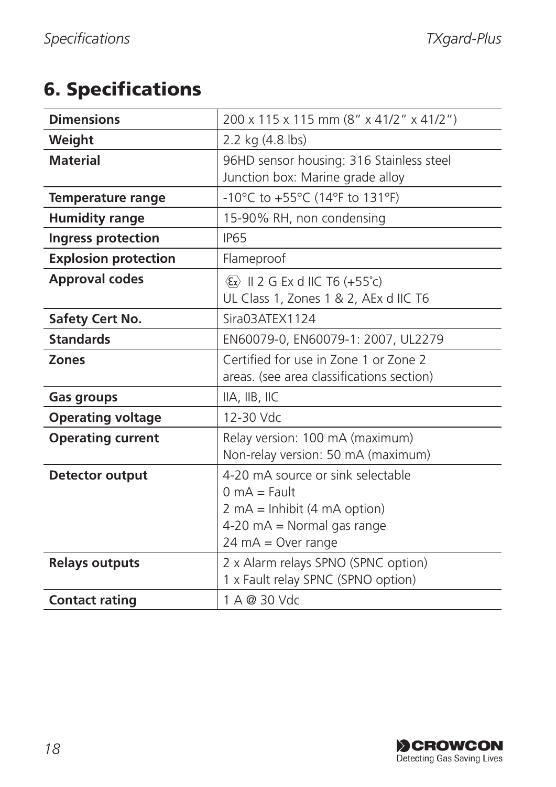## 6. Specifications

| <b>Dimensions</b>           | 200 x 115 x 115 mm (8" x 41/2" x 41/2")                                                                                                                                                     |
|-----------------------------|---------------------------------------------------------------------------------------------------------------------------------------------------------------------------------------------|
| Weight                      | 2.2 kg (4.8 lbs)                                                                                                                                                                            |
| <b>Material</b>             | 96HD sensor housing: 316 Stainless steel<br>Junction box: Marine grade alloy                                                                                                                |
| <b>Temperature range</b>    | -10°C to +55°C (14°F to 131°F)                                                                                                                                                              |
| <b>Humidity range</b>       | 15-90% RH, non condensing                                                                                                                                                                   |
| Ingress protection          | <b>IP65</b>                                                                                                                                                                                 |
| <b>Explosion protection</b> | Flameproof                                                                                                                                                                                  |
| <b>Approval codes</b>       | $\langle \xi \rangle$ II 2 G Ex d IIC T6 (+55°c)<br>UL Class 1, Zones 1 & 2, AEx d IIC T6                                                                                                   |
| Safety Cert No.             | Sira03ATEX1124                                                                                                                                                                              |
| <b>Standards</b>            | EN60079-0, EN60079-1: 2007, UL2279                                                                                                                                                          |
| Zones                       | Certified for use in Zone 1 or Zone 2<br>areas. (see area classifications section)                                                                                                          |
| Gas groups                  | IIA, IIB, IIC                                                                                                                                                                               |
| <b>Operating voltage</b>    | 12-30 Vdc                                                                                                                                                                                   |
| <b>Operating current</b>    | Relay version: 100 mA (maximum)<br>Non-relay version: 50 mA (maximum)                                                                                                                       |
| <b>Detector output</b>      | 4-20 mA source or sink selectable<br>$0 \text{ mA}$ = Fault<br>$2 \text{ mA} = \text{Inhibit} (4 \text{ mA option})$<br>$4-20$ mA = Normal gas range<br>$24 \text{ mA} = \text{Over range}$ |
| <b>Relays outputs</b>       | 2 x Alarm relays SPNO (SPNC option)<br>1 x Fault relay SPNC (SPNO option)                                                                                                                   |
| <b>Contact rating</b>       | 1 A @ 30 Vdc                                                                                                                                                                                |